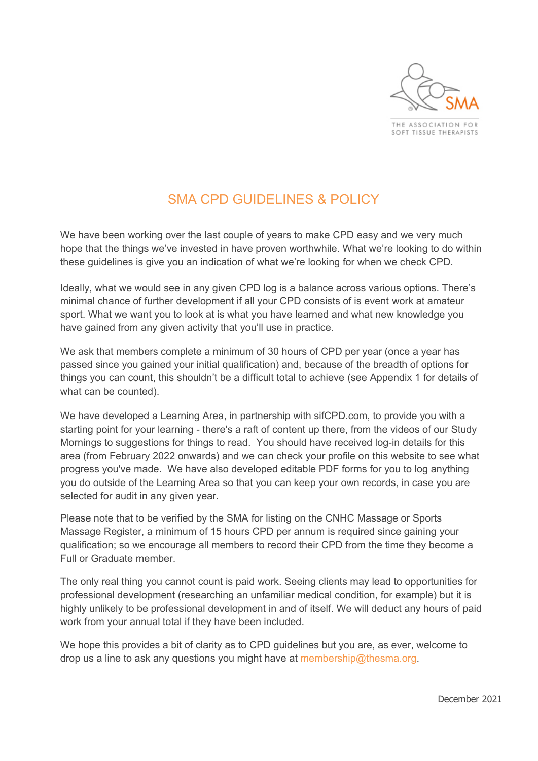

THE ASSOCIATION FOR SOFT TISSUE THERAPISTS

# SMA CPD GUIDELINES & POLICY

We have been working over the last couple of years to make CPD easy and we very much hope that the things we've invested in have proven worthwhile. What we're looking to do within these guidelines is give you an indication of what we're looking for when we check CPD.

Ideally, what we would see in any given CPD log is a balance across various options. There's minimal chance of further development if all your CPD consists of is event work at amateur sport. What we want you to look at is what you have learned and what new knowledge you have gained from any given activity that you'll use in practice.

We ask that members complete a minimum of 30 hours of CPD per year (once a year has passed since you gained your initial qualification) and, because of the breadth of options for things you can count, this shouldn't be a difficult total to achieve (see Appendix 1 for details of what can be counted).

We have developed a Learning Area, in partnership with sifCPD.com, to provide you with a starting point for your learning - there's a raft of content up there, from the videos of our Study Mornings to suggestions for things to read. You should have received log-in details for this area (from February 2022 onwards) and we can check your profile on this website to see what progress you've made. We have also developed editable PDF forms for you to log anything you do outside of the Learning Area so that you can keep your own records, in case you are selected for audit in any given year.

Please note that to be verified by the SMA for listing on the CNHC Massage or Sports Massage Register, a minimum of 15 hours CPD per annum is required since gaining your qualification; so we encourage all members to record their CPD from the time they become a Full or Graduate member.

The only real thing you cannot count is paid work. Seeing clients may lead to opportunities for professional development (researching an unfamiliar medical condition, for example) but it is highly unlikely to be professional development in and of itself. We will deduct any hours of paid work from your annual total if they have been included.

We hope this provides a bit of clarity as to CPD guidelines but you are, as ever, welcome to drop us a line to ask any questions you might have at membership@thesma.org.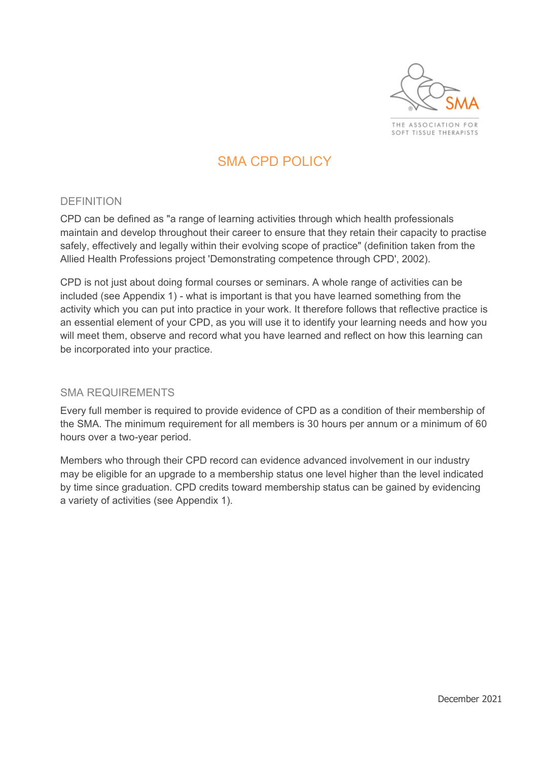

SOFT TISSUE THERAPISTS

# SMA CPD POLICY

#### DEFINITION

CPD can be defined as "a range of learning activities through which health professionals maintain and develop throughout their career to ensure that they retain their capacity to practise safely, effectively and legally within their evolving scope of practice" (definition taken from the Allied Health Professions project 'Demonstrating competence through CPD', 2002).

CPD is not just about doing formal courses or seminars. A whole range of activities can be included (see Appendix 1) - what is important is that you have learned something from the activity which you can put into practice in your work. It therefore follows that reflective practice is an essential element of your CPD, as you will use it to identify your learning needs and how you will meet them, observe and record what you have learned and reflect on how this learning can be incorporated into your practice.

### SMA REQUIREMENTS

Every full member is required to provide evidence of CPD as a condition of their membership of the SMA. The minimum requirement for all members is 30 hours per annum or a minimum of 60 hours over a two-year period.

Members who through their CPD record can evidence advanced involvement in our industry may be eligible for an upgrade to a membership status one level higher than the level indicated by time since graduation. CPD credits toward membership status can be gained by evidencing a variety of activities (see Appendix 1).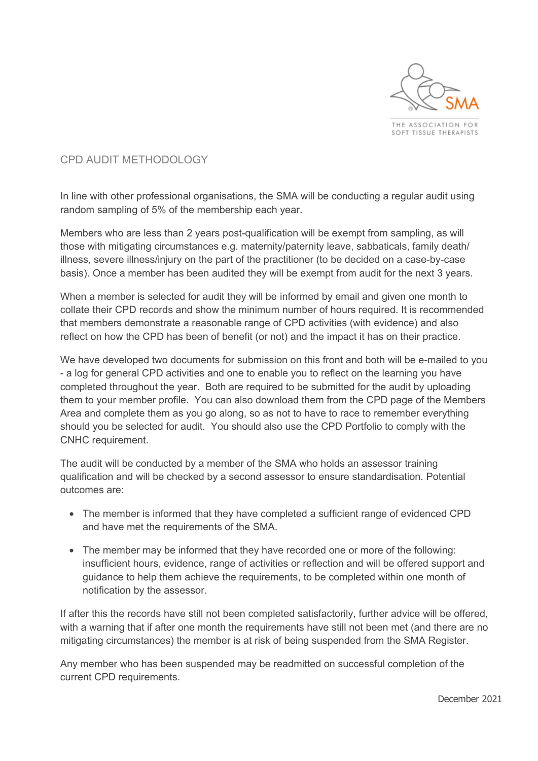

CPD AUDIT METHODOLOGY

In line with other professional organisations, the SMA will be conducting a regular audit using random sampling of 5% of the membership each year.

Members who are less than 2 years post-qualification will be exempt from sampling, as will those with mitigating circumstances e.g. maternity/paternity leave, sabbaticals, family death/ illness, severe illness/injury on the part of the practitioner (to be decided on a case-by-case basis). Once a member has been audited they will be exempt from audit for the next 3 years.

When a member is selected for audit they will be informed by email and given one month to collate their CPD records and show the minimum number of hours required. It is recommended that members demonstrate a reasonable range of CPD activities (with evidence) and also reflect on how the CPD has been of benefit (or not) and the impact it has on their practice.

We have developed two documents for submission on this front and both will be e-mailed to you - a log for general CPD activities and one to enable you to reflect on the learning you have completed throughout the year. Both are required to be submitted for the audit by uploading them to your member profile. You can also download them from the CPD page of the Members Area and complete them as you go along, so as not to have to race to remember everything should you be selected for audit. You should also use the CPD Portfolio to comply with the CNHC requirement.

The audit will be conducted by a member of the SMA who holds an assessor training qualification and will be checked by a second assessor to ensure standardisation. Potential outcomes are:

- The member is informed that they have completed a sufficient range of evidenced CPD and have met the requirements of the SMA.
- The member may be informed that they have recorded one or more of the following: insufficient hours, evidence, range of activities or reflection and will be offered support and guidance to help them achieve the requirements, to be completed within one month of notification by the assessor.

If after this the records have still not been completed satisfactorily, further advice will be offered, with a warning that if after one month the requirements have still not been met (and there are no mitigating circumstances) the member is at risk of being suspended from the SMA Register.

Any member who has been suspended may be readmitted on successful completion of the current CPD requirements.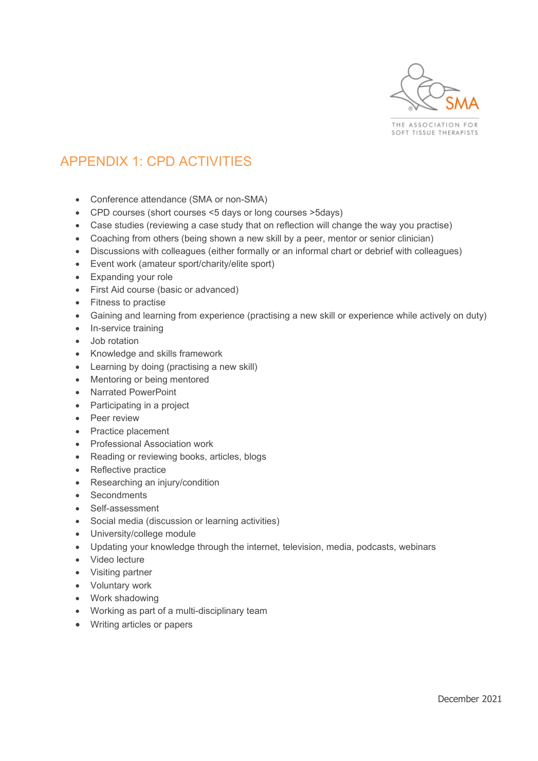

THE ASSOCIATION FOR SOFT TISSUE THERAPISTS

# APPENDIX 1: CPD ACTIVITIES

- Conference attendance (SMA or non-SMA)
- CPD courses (short courses <5 days or long courses >5days)
- Case studies (reviewing a case study that on reflection will change the way you practise)
- Coaching from others (being shown a new skill by a peer, mentor or senior clinician)
- Discussions with colleagues (either formally or an informal chart or debrief with colleagues)
- Event work (amateur sport/charity/elite sport)
- Expanding your role
- First Aid course (basic or advanced)
- Fitness to practise
- Gaining and learning from experience (practising a new skill or experience while actively on duty)
- In-service training
- Job rotation
- x Knowledge and skills framework
- Learning by doing (practising a new skill)
- Mentoring or being mentored
- x Narrated PowerPoint
- Participating in a project
- **Peer review**
- Practice placement
- Professional Association work
- Reading or reviewing books, articles, blogs
- Reflective practice
- Researching an injury/condition
- Secondments
- Self-assessment
- Social media (discussion or learning activities)
- University/college module
- Updating your knowledge through the internet, television, media, podcasts, webinars
- Video lecture
- Visiting partner
- Voluntary work
- Work shadowing
- Working as part of a multi-disciplinary team
- Writing articles or papers